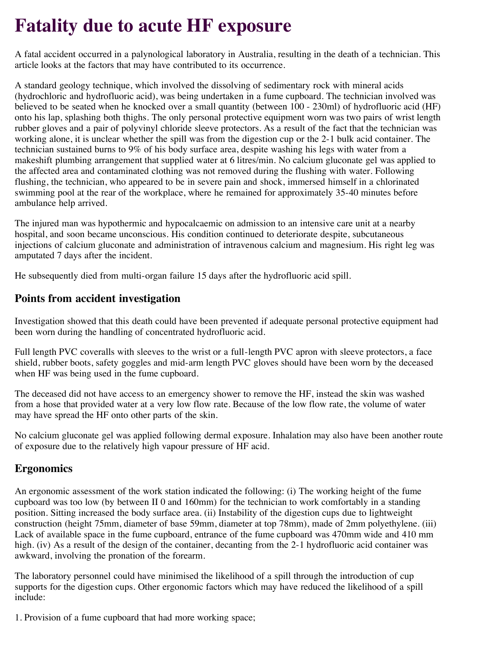## **Fatality due to acute HF exposure**

A fatal accident occurred in a palynological laboratory in Australia, resulting in the death of a technician. This article looks at the factors that may have contributed to its occurrence.

A standard geology technique, which involved the dissolving of sedimentary rock with mineral acids (hydrochloric and hydrofluoric acid), was being undertaken in a fume cupboard. The technician involved was believed to be seated when he knocked over a small quantity (between 100 - 230ml) of hydrofluoric acid (HF) onto his lap, splashing both thighs. The only personal protective equipment worn was two pairs of wrist length rubber gloves and a pair of polyvinyl chloride sleeve protectors. As a result of the fact that the technician was working alone, it is unclear whether the spill was from the digestion cup or the 2-1 bulk acid container. The technician sustained burns to 9% of his body surface area, despite washing his legs with water from a makeshift plumbing arrangement that supplied water at 6 litres/min. No calcium gluconate gel was applied to the affected area and contaminated clothing was not removed during the flushing with water. Following flushing, the technician, who appeared to be in severe pain and shock, immersed himself in a chlorinated swimming pool at the rear of the workplace, where he remained for approximately 35-40 minutes before ambulance help arrived.

The injured man was hypothermic and hypocalcaemic on admission to an intensive care unit at a nearby hospital, and soon became unconscious. His condition continued to deteriorate despite, subcutaneous injections of calcium gluconate and administration of intravenous calcium and magnesium. His right leg was amputated 7 days after the incident.

He subsequently died from multi-organ failure 15 days after the hydrofluoric acid spill.

## **Points from accident investigation**

Investigation showed that this death could have been prevented if adequate personal protective equipment had been worn during the handling of concentrated hydrofluoric acid.

Full length PVC coveralls with sleeves to the wrist or a full-length PVC apron with sleeve protectors, a face shield, rubber boots, safety goggles and mid-arm length PVC gloves should have been worn by the deceased when HF was being used in the fume cupboard.

The deceased did not have access to an emergency shower to remove the HF, instead the skin was washed from a hose that provided water at a very low flow rate. Because of the low flow rate, the volume of water may have spread the HF onto other parts of the skin.

No calcium gluconate gel was applied following dermal exposure. Inhalation may also have been another route of exposure due to the relatively high vapour pressure of HF acid.

## **Ergonomics**

An ergonomic assessment of the work station indicated the following: (i) The working height of the fume cupboard was too low (by between II 0 and 160mm) for the technician to work comfortably in a standing position. Sitting increased the body surface area. (ii) Instability of the digestion cups due to lightweight construction (height 75mm, diameter of base 59mm, diameter at top 78mm), made of 2mm polyethylene. (iii) Lack of available space in the fume cupboard, entrance of the fume cupboard was 470mm wide and 410 mm high. (iv) As a result of the design of the container, decanting from the 2-1 hydrofluoric acid container was awkward, involving the pronation of the forearm.

The laboratory personnel could have minimised the likelihood of a spill through the introduction of cup supports for the digestion cups. Other ergonomic factors which may have reduced the likelihood of a spill include:

1. Provision of a fume cupboard that had more working space;